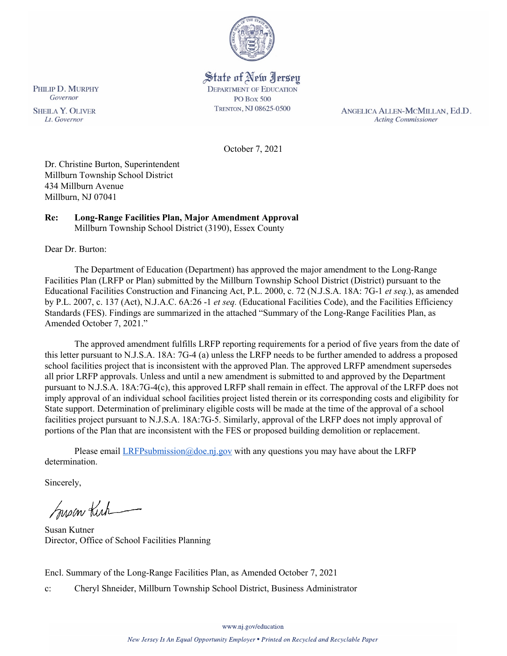

# State of New Jersey **DEPARTMENT OF EDUCATION**

**PO Box 500** TRENTON, NJ 08625-0500

ANGELICA ALLEN-MCMILLAN, Ed.D. **Acting Commissioner** 

October 7, 2021

Dr. Christine Burton, Superintendent Millburn Township School District 434 Millburn Avenue Millburn, NJ 07041

#### **Re: Long-Range Facilities Plan, Major Amendment Approval**  Millburn Township School District (3190), Essex County

Dear Dr. Burton:

The Department of Education (Department) has approved the major amendment to the Long-Range Facilities Plan (LRFP or Plan) submitted by the Millburn Township School District (District) pursuant to the Educational Facilities Construction and Financing Act, P.L. 2000, c. 72 (N.J.S.A. 18A: 7G-1 *et seq.*), as amended by P.L. 2007, c. 137 (Act), N.J.A.C. 6A:26 -1 *et seq.* (Educational Facilities Code), and the Facilities Efficiency Standards (FES). Findings are summarized in the attached "Summary of the Long-Range Facilities Plan, as Amended October 7, 2021."

The approved amendment fulfills LRFP reporting requirements for a period of five years from the date of this letter pursuant to N.J.S.A. 18A: 7G-4 (a) unless the LRFP needs to be further amended to address a proposed school facilities project that is inconsistent with the approved Plan. The approved LRFP amendment supersedes all prior LRFP approvals. Unless and until a new amendment is submitted to and approved by the Department pursuant to N.J.S.A. 18A:7G-4(c), this approved LRFP shall remain in effect. The approval of the LRFP does not imply approval of an individual school facilities project listed therein or its corresponding costs and eligibility for State support. Determination of preliminary eligible costs will be made at the time of the approval of a school facilities project pursuant to N.J.S.A. 18A:7G-5. Similarly, approval of the LRFP does not imply approval of portions of the Plan that are inconsistent with the FES or proposed building demolition or replacement.

Please email  $LRFP submission@doe.nj.gov$  with any questions you may have about the LRFP determination.

Sincerely,

Susan Kich

Susan Kutner Director, Office of School Facilities Planning

Encl. Summary of the Long-Range Facilities Plan, as Amended October 7, 2021

c: Cheryl Shneider, Millburn Township School District, Business Administrator

Governor **SHEILA Y. OLIVER** Lt. Governor

PHILIP D. MURPHY

www.nj.gov/education

New Jersey Is An Equal Opportunity Employer . Printed on Recycled and Recyclable Paper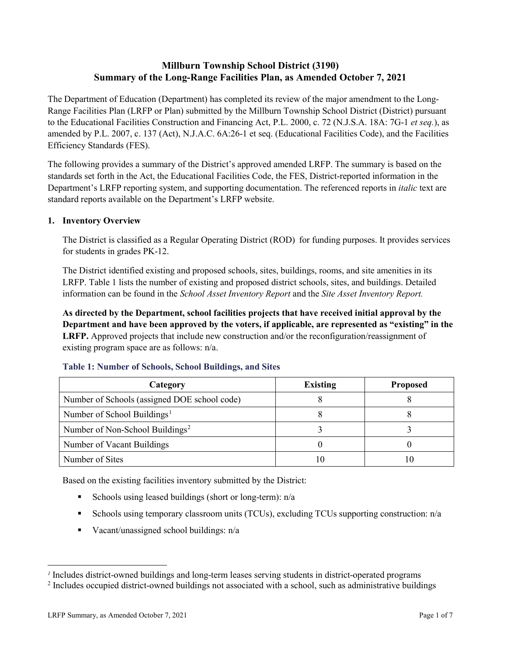# **Millburn Township School District (3190) Summary of the Long-Range Facilities Plan, as Amended October 7, 2021**

The Department of Education (Department) has completed its review of the major amendment to the Long-Range Facilities Plan (LRFP or Plan) submitted by the Millburn Township School District (District) pursuant to the Educational Facilities Construction and Financing Act, P.L. 2000, c. 72 (N.J.S.A. 18A: 7G-1 *et seq.*), as amended by P.L. 2007, c. 137 (Act), N.J.A.C. 6A:26-1 et seq. (Educational Facilities Code), and the Facilities Efficiency Standards (FES).

The following provides a summary of the District's approved amended LRFP. The summary is based on the standards set forth in the Act, the Educational Facilities Code, the FES, District-reported information in the Department's LRFP reporting system, and supporting documentation. The referenced reports in *italic* text are standard reports available on the Department's LRFP website.

## **1. Inventory Overview**

The District is classified as a Regular Operating District (ROD) for funding purposes. It provides services for students in grades PK-12.

The District identified existing and proposed schools, sites, buildings, rooms, and site amenities in its LRFP. Table 1 lists the number of existing and proposed district schools, sites, and buildings. Detailed information can be found in the *School Asset Inventory Report* and the *Site Asset Inventory Report.*

**As directed by the Department, school facilities projects that have received initial approval by the Department and have been approved by the voters, if applicable, are represented as "existing" in the LRFP.** Approved projects that include new construction and/or the reconfiguration/reassignment of existing program space are as follows: n/a.

| Category                                     | <b>Existing</b> | <b>Proposed</b> |
|----------------------------------------------|-----------------|-----------------|
| Number of Schools (assigned DOE school code) |                 |                 |
| Number of School Buildings <sup>1</sup>      |                 |                 |
| Number of Non-School Buildings <sup>2</sup>  |                 |                 |
| Number of Vacant Buildings                   |                 |                 |
| Number of Sites                              |                 |                 |

## **Table 1: Number of Schools, School Buildings, and Sites**

Based on the existing facilities inventory submitted by the District:

- Schools using leased buildings (short or long-term):  $n/a$
- Schools using temporary classroom units (TCUs), excluding TCUs supporting construction: n/a
- Vacant/unassigned school buildings:  $n/a$

 $\overline{a}$ 

*<sup>1</sup>* Includes district-owned buildings and long-term leases serving students in district-operated programs

<sup>&</sup>lt;sup>2</sup> Includes occupied district-owned buildings not associated with a school, such as administrative buildings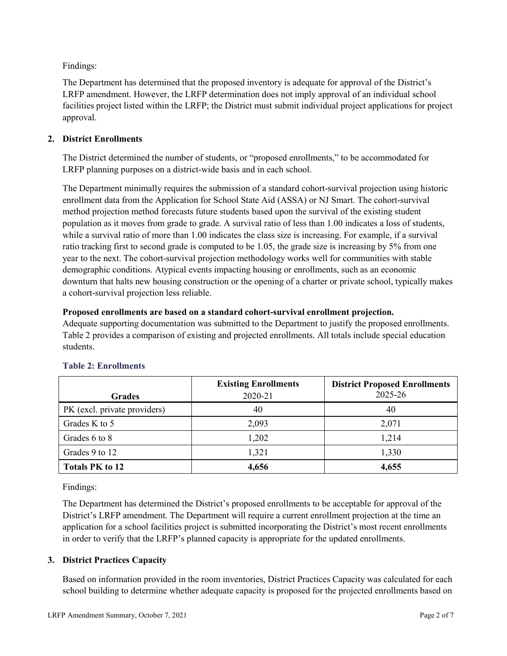Findings:

The Department has determined that the proposed inventory is adequate for approval of the District's LRFP amendment. However, the LRFP determination does not imply approval of an individual school facilities project listed within the LRFP; the District must submit individual project applications for project approval.

## **2. District Enrollments**

The District determined the number of students, or "proposed enrollments," to be accommodated for LRFP planning purposes on a district-wide basis and in each school.

The Department minimally requires the submission of a standard cohort-survival projection using historic enrollment data from the Application for School State Aid (ASSA) or NJ Smart. The cohort-survival method projection method forecasts future students based upon the survival of the existing student population as it moves from grade to grade. A survival ratio of less than 1.00 indicates a loss of students, while a survival ratio of more than 1.00 indicates the class size is increasing. For example, if a survival ratio tracking first to second grade is computed to be 1.05, the grade size is increasing by 5% from one year to the next. The cohort-survival projection methodology works well for communities with stable demographic conditions. Atypical events impacting housing or enrollments, such as an economic downturn that halts new housing construction or the opening of a charter or private school, typically makes a cohort-survival projection less reliable.

#### **Proposed enrollments are based on a standard cohort-survival enrollment projection.**

Adequate supporting documentation was submitted to the Department to justify the proposed enrollments. Table 2 provides a comparison of existing and projected enrollments. All totals include special education students.

|                              | <b>Existing Enrollments</b> | <b>District Proposed Enrollments</b> |
|------------------------------|-----------------------------|--------------------------------------|
| <b>Grades</b>                | 2020-21                     | 2025-26                              |
| PK (excl. private providers) | 40                          | 40                                   |
| Grades K to 5                | 2,093                       | 2,071                                |
| Grades 6 to 8                | 1,202                       | 1,214                                |
| Grades 9 to 12               | 1,321                       | 1,330                                |
| <b>Totals PK to 12</b>       | 4,656                       | 4,655                                |

## **Table 2: Enrollments**

Findings:

The Department has determined the District's proposed enrollments to be acceptable for approval of the District's LRFP amendment. The Department will require a current enrollment projection at the time an application for a school facilities project is submitted incorporating the District's most recent enrollments in order to verify that the LRFP's planned capacity is appropriate for the updated enrollments.

## **3. District Practices Capacity**

Based on information provided in the room inventories, District Practices Capacity was calculated for each school building to determine whether adequate capacity is proposed for the projected enrollments based on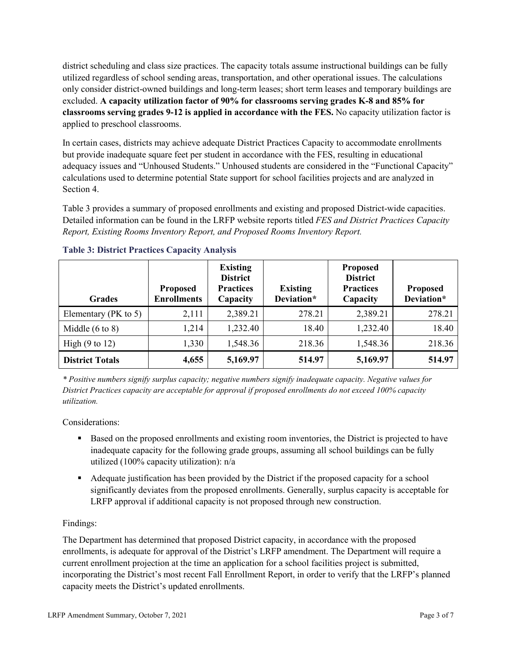district scheduling and class size practices. The capacity totals assume instructional buildings can be fully utilized regardless of school sending areas, transportation, and other operational issues. The calculations only consider district-owned buildings and long-term leases; short term leases and temporary buildings are excluded. **A capacity utilization factor of 90% for classrooms serving grades K-8 and 85% for classrooms serving grades 9-12 is applied in accordance with the FES.** No capacity utilization factor is applied to preschool classrooms.

In certain cases, districts may achieve adequate District Practices Capacity to accommodate enrollments but provide inadequate square feet per student in accordance with the FES, resulting in educational adequacy issues and "Unhoused Students." Unhoused students are considered in the "Functional Capacity" calculations used to determine potential State support for school facilities projects and are analyzed in Section 4.

Table 3 provides a summary of proposed enrollments and existing and proposed District-wide capacities. Detailed information can be found in the LRFP website reports titled *FES and District Practices Capacity Report, Existing Rooms Inventory Report, and Proposed Rooms Inventory Report.*

| <b>Grades</b>              | <b>Proposed</b><br><b>Enrollments</b> | <b>Existing</b><br><b>District</b><br><b>Practices</b><br>Capacity | <b>Existing</b><br>Deviation* | <b>Proposed</b><br><b>District</b><br><b>Practices</b><br>Capacity | <b>Proposed</b><br>Deviation* |
|----------------------------|---------------------------------------|--------------------------------------------------------------------|-------------------------------|--------------------------------------------------------------------|-------------------------------|
| Elementary ( $PK$ to 5)    | 2,111                                 | 2,389.21                                                           | 278.21                        | 2,389.21                                                           | 278.21                        |
| Middle $(6 \text{ to } 8)$ | 1,214                                 | 1,232.40                                                           | 18.40                         | 1,232.40                                                           | 18.40                         |
| High $(9 \text{ to } 12)$  | 1,330                                 | 1,548.36                                                           | 218.36                        | 1,548.36                                                           | 218.36                        |
| <b>District Totals</b>     | 4,655                                 | 5,169.97                                                           | 514.97                        | 5,169.97                                                           | 514.97                        |

## **Table 3: District Practices Capacity Analysis**

*\* Positive numbers signify surplus capacity; negative numbers signify inadequate capacity. Negative values for District Practices capacity are acceptable for approval if proposed enrollments do not exceed 100% capacity utilization.*

Considerations:

- Based on the proposed enrollments and existing room inventories, the District is projected to have inadequate capacity for the following grade groups, assuming all school buildings can be fully utilized (100% capacity utilization): n/a
- Adequate justification has been provided by the District if the proposed capacity for a school significantly deviates from the proposed enrollments. Generally, surplus capacity is acceptable for LRFP approval if additional capacity is not proposed through new construction.

## Findings:

The Department has determined that proposed District capacity, in accordance with the proposed enrollments, is adequate for approval of the District's LRFP amendment. The Department will require a current enrollment projection at the time an application for a school facilities project is submitted, incorporating the District's most recent Fall Enrollment Report, in order to verify that the LRFP's planned capacity meets the District's updated enrollments.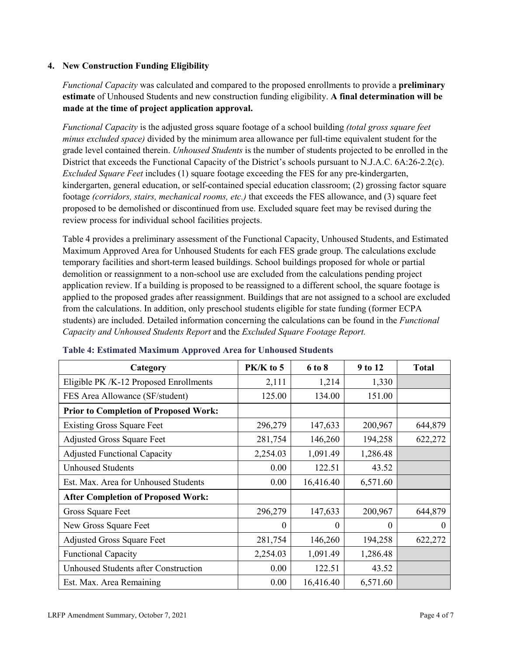#### **4. New Construction Funding Eligibility**

*Functional Capacity* was calculated and compared to the proposed enrollments to provide a **preliminary estimate** of Unhoused Students and new construction funding eligibility. **A final determination will be made at the time of project application approval.**

*Functional Capacity* is the adjusted gross square footage of a school building *(total gross square feet minus excluded space)* divided by the minimum area allowance per full-time equivalent student for the grade level contained therein. *Unhoused Students* is the number of students projected to be enrolled in the District that exceeds the Functional Capacity of the District's schools pursuant to N.J.A.C. 6A:26-2.2(c). *Excluded Square Feet* includes (1) square footage exceeding the FES for any pre-kindergarten, kindergarten, general education, or self-contained special education classroom; (2) grossing factor square footage *(corridors, stairs, mechanical rooms, etc.)* that exceeds the FES allowance, and (3) square feet proposed to be demolished or discontinued from use. Excluded square feet may be revised during the review process for individual school facilities projects.

Table 4 provides a preliminary assessment of the Functional Capacity, Unhoused Students, and Estimated Maximum Approved Area for Unhoused Students for each FES grade group. The calculations exclude temporary facilities and short-term leased buildings. School buildings proposed for whole or partial demolition or reassignment to a non-school use are excluded from the calculations pending project application review. If a building is proposed to be reassigned to a different school, the square footage is applied to the proposed grades after reassignment. Buildings that are not assigned to a school are excluded from the calculations. In addition, only preschool students eligible for state funding (former ECPA students) are included. Detailed information concerning the calculations can be found in the *Functional Capacity and Unhoused Students Report* and the *Excluded Square Footage Report.*

| Category                                     | PK/K to 5 | 6 to 8    | 9 to 12  | <b>Total</b> |
|----------------------------------------------|-----------|-----------|----------|--------------|
| Eligible PK /K-12 Proposed Enrollments       | 2,111     | 1,214     | 1,330    |              |
| FES Area Allowance (SF/student)              | 125.00    | 134.00    | 151.00   |              |
| <b>Prior to Completion of Proposed Work:</b> |           |           |          |              |
| <b>Existing Gross Square Feet</b>            | 296,279   | 147,633   | 200,967  | 644,879      |
| <b>Adjusted Gross Square Feet</b>            | 281,754   | 146,260   | 194,258  | 622,272      |
| <b>Adjusted Functional Capacity</b>          | 2,254.03  | 1,091.49  | 1,286.48 |              |
| <b>Unhoused Students</b>                     | 0.00      | 122.51    | 43.52    |              |
| Est. Max. Area for Unhoused Students         | 0.00      | 16,416.40 | 6,571.60 |              |
| <b>After Completion of Proposed Work:</b>    |           |           |          |              |
| Gross Square Feet                            | 296,279   | 147,633   | 200,967  | 644,879      |
| New Gross Square Feet                        | $\theta$  | 0         | $\Omega$ | $\theta$     |
| <b>Adjusted Gross Square Feet</b>            | 281,754   | 146,260   | 194,258  | 622,272      |
| <b>Functional Capacity</b>                   | 2,254.03  | 1,091.49  | 1,286.48 |              |
| <b>Unhoused Students after Construction</b>  | 0.00      | 122.51    | 43.52    |              |
| Est. Max. Area Remaining                     | 0.00      | 16,416.40 | 6,571.60 |              |

#### **Table 4: Estimated Maximum Approved Area for Unhoused Students**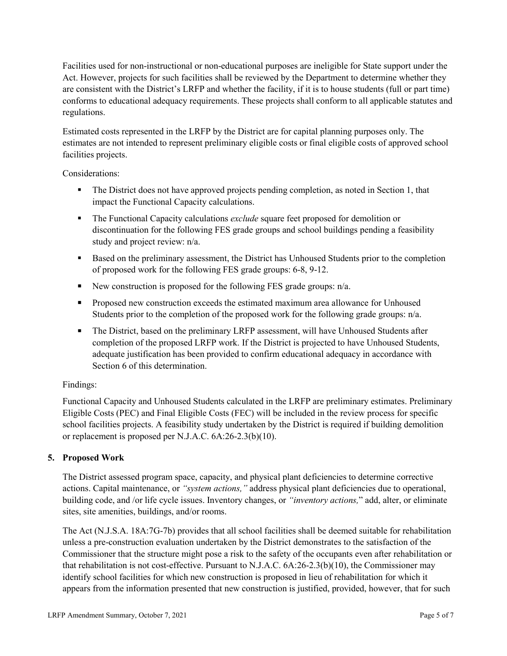Facilities used for non-instructional or non-educational purposes are ineligible for State support under the Act. However, projects for such facilities shall be reviewed by the Department to determine whether they are consistent with the District's LRFP and whether the facility, if it is to house students (full or part time) conforms to educational adequacy requirements. These projects shall conform to all applicable statutes and regulations.

Estimated costs represented in the LRFP by the District are for capital planning purposes only. The estimates are not intended to represent preliminary eligible costs or final eligible costs of approved school facilities projects.

Considerations:

- The District does not have approved projects pending completion, as noted in Section 1, that impact the Functional Capacity calculations.
- **The Functional Capacity calculations** *exclude* square feet proposed for demolition or discontinuation for the following FES grade groups and school buildings pending a feasibility study and project review: n/a.
- Based on the preliminary assessment, the District has Unhoused Students prior to the completion of proposed work for the following FES grade groups: 6-8, 9-12.
- New construction is proposed for the following FES grade groups: n/a.
- Proposed new construction exceeds the estimated maximum area allowance for Unhoused Students prior to the completion of the proposed work for the following grade groups: n/a.
- The District, based on the preliminary LRFP assessment, will have Unhoused Students after completion of the proposed LRFP work. If the District is projected to have Unhoused Students, adequate justification has been provided to confirm educational adequacy in accordance with Section 6 of this determination.

## Findings:

Functional Capacity and Unhoused Students calculated in the LRFP are preliminary estimates. Preliminary Eligible Costs (PEC) and Final Eligible Costs (FEC) will be included in the review process for specific school facilities projects. A feasibility study undertaken by the District is required if building demolition or replacement is proposed per N.J.A.C. 6A:26-2.3(b)(10).

## **5. Proposed Work**

The District assessed program space, capacity, and physical plant deficiencies to determine corrective actions. Capital maintenance, or *"system actions,"* address physical plant deficiencies due to operational, building code, and /or life cycle issues. Inventory changes, or *"inventory actions,*" add, alter, or eliminate sites, site amenities, buildings, and/or rooms.

The Act (N.J.S.A. 18A:7G-7b) provides that all school facilities shall be deemed suitable for rehabilitation unless a pre-construction evaluation undertaken by the District demonstrates to the satisfaction of the Commissioner that the structure might pose a risk to the safety of the occupants even after rehabilitation or that rehabilitation is not cost-effective. Pursuant to N.J.A.C. 6A:26-2.3(b)(10), the Commissioner may identify school facilities for which new construction is proposed in lieu of rehabilitation for which it appears from the information presented that new construction is justified, provided, however, that for such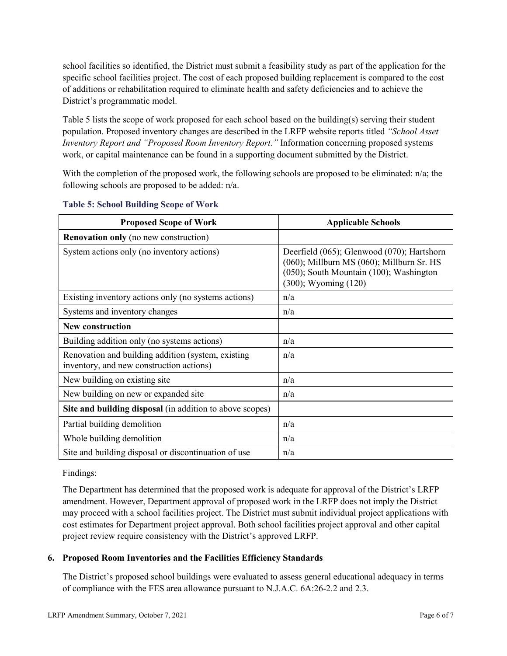school facilities so identified, the District must submit a feasibility study as part of the application for the specific school facilities project. The cost of each proposed building replacement is compared to the cost of additions or rehabilitation required to eliminate health and safety deficiencies and to achieve the District's programmatic model.

Table 5 lists the scope of work proposed for each school based on the building(s) serving their student population. Proposed inventory changes are described in the LRFP website reports titled *"School Asset Inventory Report and "Proposed Room Inventory Report."* Information concerning proposed systems work, or capital maintenance can be found in a supporting document submitted by the District.

With the completion of the proposed work, the following schools are proposed to be eliminated:  $n/a$ ; the following schools are proposed to be added: n/a.

| <b>Proposed Scope of Work</b>                                                                  | <b>Applicable Schools</b>                                                                                                                                             |
|------------------------------------------------------------------------------------------------|-----------------------------------------------------------------------------------------------------------------------------------------------------------------------|
| <b>Renovation only</b> (no new construction)                                                   |                                                                                                                                                                       |
| System actions only (no inventory actions)                                                     | Deerfield (065); Glenwood (070); Hartshorn<br>(060); Millburn MS (060); Millburn Sr. HS<br>$(050)$ ; South Mountain $(100)$ ; Washington<br>$(300)$ ; Wyoming $(120)$ |
| Existing inventory actions only (no systems actions)                                           | n/a                                                                                                                                                                   |
| Systems and inventory changes                                                                  | n/a                                                                                                                                                                   |
| <b>New construction</b>                                                                        |                                                                                                                                                                       |
| Building addition only (no systems actions)                                                    | n/a                                                                                                                                                                   |
| Renovation and building addition (system, existing<br>inventory, and new construction actions) | n/a                                                                                                                                                                   |
| New building on existing site                                                                  | n/a                                                                                                                                                                   |
| New building on new or expanded site                                                           | n/a                                                                                                                                                                   |
| Site and building disposal (in addition to above scopes)                                       |                                                                                                                                                                       |
| Partial building demolition                                                                    | n/a                                                                                                                                                                   |
| Whole building demolition                                                                      | n/a                                                                                                                                                                   |
| Site and building disposal or discontinuation of use                                           | n/a                                                                                                                                                                   |

#### **Table 5: School Building Scope of Work**

#### Findings:

The Department has determined that the proposed work is adequate for approval of the District's LRFP amendment. However, Department approval of proposed work in the LRFP does not imply the District may proceed with a school facilities project. The District must submit individual project applications with cost estimates for Department project approval. Both school facilities project approval and other capital project review require consistency with the District's approved LRFP.

## **6. Proposed Room Inventories and the Facilities Efficiency Standards**

The District's proposed school buildings were evaluated to assess general educational adequacy in terms of compliance with the FES area allowance pursuant to N.J.A.C. 6A:26-2.2 and 2.3.